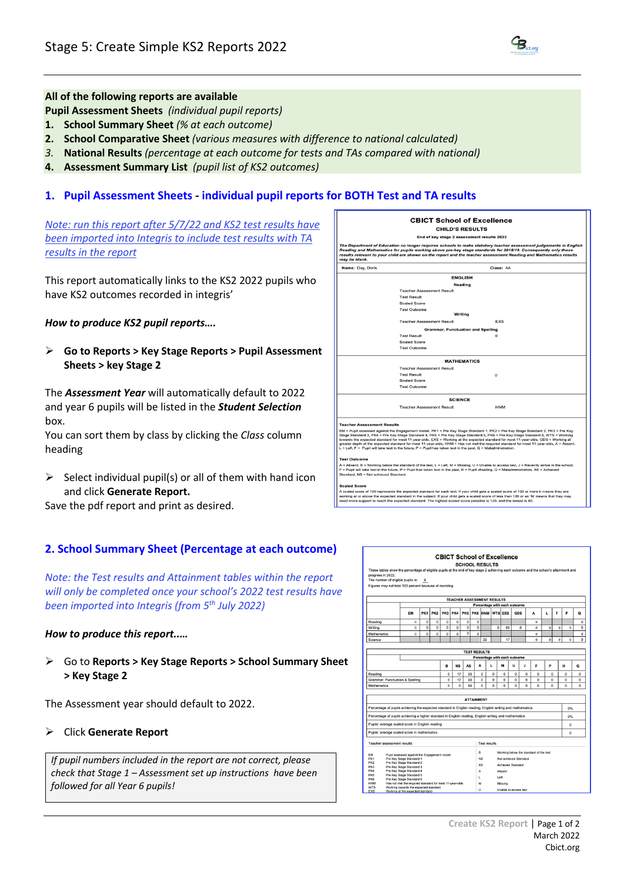## **All of the following reports are available**

**Pupil Assessment Sheets** *(individual pupil reports)*

- **1. School Summary Sheet** *(% at each outcome)*
- **2. School Comparative Sheet** *(various measures with difference to national calculated)*
- *3.* **National Results** *(percentage at each outcome for tests and TAs compared with national)*
- **4. Assessment Summary List** *(pupil list of KS2 outcomes)*

# **1. Pupil Assessment Sheets - individual pupil reports for BOTH Test and TA results**

*Note: run this report after 5/7/22 and KS2 test results have been imported into Integris to include test results with TA results in the report*

This report automatically links to the KS2 2022 pupils who have KS2 outcomes recorded in integris'

## *How to produce KS2 pupil reports….*

Ø **Go to Reports > Key Stage Reports > Pupil Assessment Sheets > key Stage 2**

The *Assessment Year* will automatically default to 2022 and year 6 pupils will be listed in the *Student Selection* hox.

You can sort them by class by clicking the *Class* column heading

 $\triangleright$  Select individual pupil(s) or all of them with hand icon and click **Generate Report.**

Save the pdf report and print as desired.

# **2. School Summary Sheet (Percentage at each outcome)**

*Note: the Test results and Attainment tables within the report will only be completed once your school's 2022 test results have been imported into Integris (from 5th July 2022)*

#### *How to produce this report..…*

Ø Go to **Reports > Key Stage Reports > School Summary Sheet > Key Stage 2**

The Assessment year should default to 2022.

#### Ø Click **Generate Report**

*If pupil numbers included in the report are not correct, please check that Stage 1 – Assessment set up instructions have been followed for all Year 6 pupils!*



| These tables show the percentage of eligible pupils at the end of key stage 2 achieving each outcome and the school's attainment and |                                                         |                              |                 |                |                |                | <b>SCHOOL RESULTS</b> |                                    |                                   |                |            |          |                     |          |                |          |                |  |
|--------------------------------------------------------------------------------------------------------------------------------------|---------------------------------------------------------|------------------------------|-----------------|----------------|----------------|----------------|-----------------------|------------------------------------|-----------------------------------|----------------|------------|----------|---------------------|----------|----------------|----------|----------------|--|
| progress in 2022.                                                                                                                    |                                                         |                              |                 |                |                |                |                       |                                    |                                   |                |            |          |                     |          |                |          |                |  |
| The number of eligible pupils is:                                                                                                    |                                                         | 6                            |                 |                |                |                |                       |                                    |                                   |                |            |          |                     |          |                |          |                |  |
| Figures may not total 100 percent because of rounding.                                                                               |                                                         |                              |                 |                |                |                |                       |                                    |                                   |                |            |          |                     |          |                |          |                |  |
|                                                                                                                                      |                                                         |                              |                 |                |                |                |                       |                                    | <b>TEACHER ASSESSMENT RESULTS</b> |                |            |          |                     |          |                |          |                |  |
|                                                                                                                                      |                                                         | Percentage with each outcome |                 |                |                |                |                       |                                    |                                   |                |            |          |                     |          |                |          |                |  |
|                                                                                                                                      | EM                                                      | PK <sub>1</sub>              | PK <sub>2</sub> | PK3            | PK4            | PK5            | PK6                   | <b>HNM</b>                         |                                   | <b>WTS EXS</b> | <b>GDS</b> |          | A                   | L        | F              | P        | ٥              |  |
| Reading                                                                                                                              | $\alpha$                                                | $\overline{0}$               | $\Omega$        | $\Omega$       | $\Omega$       | $\Omega$       | $\Omega$              |                                    |                                   |                |            |          | $\Omega$            |          |                |          | $\Omega$       |  |
| Writing                                                                                                                              | $\Omega$                                                | $\overline{0}$               | $\overline{0}$  | $\overline{0}$ | $\overline{0}$ | $\overline{0}$ | $\overline{0}$        |                                    | $\overline{0}$                    | 50             |            | $\Omega$ | $\Omega$            | $\Omega$ | $\overline{0}$ | $\bf{0}$ | $\overline{0}$ |  |
| Mathematics                                                                                                                          | $\alpha$                                                | $\Omega$                     | $\Omega$        | $\Omega$       | $\Omega$       | $\Omega$       | $\Omega$              |                                    |                                   |                |            |          | $\ddot{\mathbf{0}}$ |          |                |          | $\mathbf 0$    |  |
| Science                                                                                                                              |                                                         |                              |                 |                |                |                |                       | 33                                 |                                   | 17             |            |          | $\ddot{\Omega}$     | ó        | $\theta$       | $\theta$ | $\Omega$       |  |
|                                                                                                                                      |                                                         |                              |                 |                |                |                |                       |                                    |                                   |                |            |          |                     |          |                |          |                |  |
|                                                                                                                                      |                                                         |                              |                 |                |                |                | <b>TEST RESULTS</b>   |                                    |                                   |                |            |          |                     |          |                |          |                |  |
|                                                                                                                                      |                                                         | Percentage with each outcome |                 |                |                |                |                       |                                    |                                   |                |            |          |                     |          |                |          |                |  |
|                                                                                                                                      |                                                         |                              |                 | B              | <b>NS</b>      | AS             |                       | A                                  | t.                                | M              | u          | J        | F                   | P        |                | н        | ۰              |  |
| $\Omega$<br>17<br>33<br>Reading                                                                                                      |                                                         |                              |                 |                |                |                |                       | O                                  | 0                                 | 0              | $\Omega$   | o        | $\Omega$            | $\Omega$ |                | $\Omega$ | $\Omega$       |  |
| $\circ$<br>17<br>33<br>Grammar, Punctuation & Spelling                                                                               |                                                         |                              |                 |                |                |                | <sup>0</sup>          | $\Omega$                           | $\Omega$                          | <sup>0</sup>   | $\Omega$   | O        |                     | $\Omega$ | $\Omega$       | $\Omega$ |                |  |
| $\Omega$<br>$\Omega$<br>Mathematics                                                                                                  |                                                         |                              |                 |                |                | 50             |                       | 0                                  | 0                                 | $\Omega$       | O          | 0        | O                   |          | 0              | $\Omega$ | $\Omega$       |  |
|                                                                                                                                      |                                                         |                              |                 |                |                |                |                       |                                    |                                   |                |            |          |                     |          |                |          |                |  |
|                                                                                                                                      |                                                         |                              |                 |                |                |                | <b>ATTAINMENT</b>     |                                    |                                   |                |            |          |                     |          |                |          |                |  |
| Percentage of pupils achieving the expected standard in English reading, English writing and mathematics                             |                                                         |                              |                 |                |                |                |                       |                                    |                                   |                |            |          |                     |          |                | 0%       |                |  |
| Percentage of pupils achieving a higher standard in English reading, English writing and mathematics                                 |                                                         |                              |                 |                |                |                |                       |                                    |                                   |                |            |          |                     |          |                | 0%       |                |  |
| Pupils' average scaled score in English reading                                                                                      |                                                         |                              |                 |                |                |                |                       |                                    |                                   |                |            |          |                     |          |                |          |                |  |
|                                                                                                                                      |                                                         |                              |                 |                |                |                |                       |                                    |                                   |                |            |          |                     |          |                | $\Omega$ |                |  |
| Pupils' average scaled score in mathematics                                                                                          |                                                         |                              |                 |                |                |                |                       |                                    |                                   |                |            |          |                     |          |                | $\Omega$ |                |  |
| Teacher assessment results                                                                                                           |                                                         |                              |                 |                |                |                |                       | <b>Test results</b>                |                                   |                |            |          |                     |          |                |          |                |  |
| B<br>Working below the standard of the test                                                                                          |                                                         |                              |                 |                |                |                |                       |                                    |                                   |                |            |          |                     |          |                |          |                |  |
| EM<br>Pupil assessed against the Engagement model<br>PK1<br>Pre Key Stage Standard 1                                                 |                                                         |                              |                 |                |                |                |                       | <b>NS</b><br>Not achieved Standard |                                   |                |            |          |                     |          |                |          |                |  |
| PK <sub>2</sub><br>Pre Key Stage Standard 2                                                                                          |                                                         |                              |                 |                |                |                |                       | AS<br><b>Achieved Standard</b>     |                                   |                |            |          |                     |          |                |          |                |  |
| PK3<br>Pre Key Stage Standard 3                                                                                                      |                                                         |                              |                 |                |                |                |                       |                                    |                                   |                |            |          |                     |          |                |          |                |  |
| PK4<br>Pre Key Stage Standard 4<br>PK5<br>Pre Key Stage Standard 5                                                                   |                                                         |                              |                 |                |                |                |                       | A                                  |                                   | Absent         |            |          |                     |          |                |          |                |  |
| <b>PK6</b>                                                                                                                           | Pre Key Stage Standard 6                                |                              |                 |                |                |                | ι                     |                                    | Left                              |                |            |          |                     |          |                |          |                |  |
| <b>HNM</b>                                                                                                                           | Has not met the required standard for most 11-year-olds |                              |                 |                |                |                | M                     |                                    |                                   | Missing        |            |          |                     |          |                |          |                |  |
| <b>WTS</b><br>Working towards the expected standard<br>u<br>Unable to access test<br>EXS<br>Working at the expected standard         |                                                         |                              |                 |                |                |                |                       |                                    |                                   |                |            |          |                     |          |                |          |                |  |